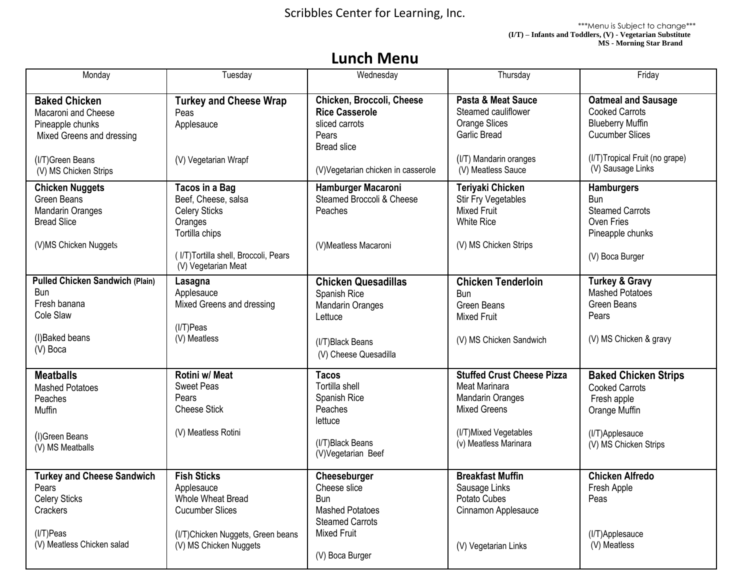Scribbles Center for Learning, Inc.

 \*\*\*Menu is Subject to change\*\*\*  **(I/T) – Infants and Toddlers, (V) - Vegetarian Substitute MS - Morning Star Brand**

## **Lunch Menu**

| Monday                                 | Tuesday                              | Wednesday                          | Thursday                          | Friday                         |
|----------------------------------------|--------------------------------------|------------------------------------|-----------------------------------|--------------------------------|
| <b>Baked Chicken</b>                   | <b>Turkey and Cheese Wrap</b>        | Chicken, Broccoli, Cheese          | Pasta & Meat Sauce                | <b>Oatmeal and Sausage</b>     |
| Macaroni and Cheese                    | Peas                                 | <b>Rice Casserole</b>              | Steamed cauliflower               | <b>Cooked Carrots</b>          |
| Pineapple chunks                       | Applesauce                           | sliced carrots                     | <b>Orange Slices</b>              | <b>Blueberry Muffin</b>        |
| Mixed Greens and dressing              |                                      | Pears                              | <b>Garlic Bread</b>               | <b>Cucumber Slices</b>         |
|                                        |                                      | <b>Bread slice</b>                 |                                   |                                |
| (I/T)Green Beans                       | (V) Vegetarian Wrapf                 |                                    | (I/T) Mandarin oranges            | (I/T)Tropical Fruit (no grape) |
| (V) MS Chicken Strips                  |                                      | (V)Vegetarian chicken in casserole | (V) Meatless Sauce                | (V) Sausage Links              |
|                                        |                                      |                                    |                                   |                                |
| <b>Chicken Nuggets</b>                 | <b>Tacos in a Bag</b>                | Hamburger Macaroni                 | Teriyaki Chicken                  | <b>Hamburgers</b>              |
| <b>Green Beans</b>                     | Beef, Cheese, salsa                  | Steamed Broccoli & Cheese          | <b>Stir Fry Vegetables</b>        | <b>Bun</b>                     |
| <b>Mandarin Oranges</b>                | <b>Celery Sticks</b>                 | Peaches                            | <b>Mixed Fruit</b>                | <b>Steamed Carrots</b>         |
| <b>Bread Slice</b>                     | Oranges                              |                                    | <b>White Rice</b>                 | Oven Fries                     |
|                                        | Tortilla chips                       |                                    |                                   | Pineapple chunks               |
| (V)MS Chicken Nuggets                  |                                      | (V)Meatless Macaroni               | (V) MS Chicken Strips             |                                |
|                                        | (I/T)Tortilla shell, Broccoli, Pears |                                    |                                   | (V) Boca Burger                |
|                                        | (V) Vegetarian Meat                  |                                    |                                   |                                |
| <b>Pulled Chicken Sandwich (Plain)</b> | Lasagna                              | <b>Chicken Quesadillas</b>         | <b>Chicken Tenderloin</b>         | <b>Turkey &amp; Gravy</b>      |
| Bun                                    | Applesauce                           | Spanish Rice                       | <b>Bun</b>                        | <b>Mashed Potatoes</b>         |
| Fresh banana                           | Mixed Greens and dressing            | <b>Mandarin Oranges</b>            | Green Beans                       | Green Beans                    |
| Cole Slaw                              |                                      | Lettuce                            | <b>Mixed Fruit</b>                | Pears                          |
|                                        | $(1/T)$ Peas                         |                                    |                                   |                                |
| (I)Baked beans                         | (V) Meatless                         | (I/T)Black Beans                   | (V) MS Chicken Sandwich           | (V) MS Chicken & gravy         |
| (V) Boca                               |                                      | (V) Cheese Quesadilla              |                                   |                                |
|                                        |                                      |                                    |                                   |                                |
| <b>Meatballs</b>                       | Rotini w/ Meat                       | <b>Tacos</b>                       | <b>Stuffed Crust Cheese Pizza</b> | <b>Baked Chicken Strips</b>    |
| <b>Mashed Potatoes</b>                 | <b>Sweet Peas</b>                    | Tortilla shell                     | Meat Marinara                     | <b>Cooked Carrots</b>          |
| Peaches                                | Pears                                | Spanish Rice                       | <b>Mandarin Oranges</b>           | Fresh apple                    |
| Muffin                                 | <b>Cheese Stick</b>                  | Peaches                            | <b>Mixed Greens</b>               | Orange Muffin                  |
|                                        |                                      | lettuce                            |                                   |                                |
| (I)Green Beans                         | (V) Meatless Rotini                  |                                    | (I/T) Mixed Vegetables            | (I/T)Applesauce                |
| (V) MS Meatballs                       |                                      | (I/T)Black Beans                   | (v) Meatless Marinara             | (V) MS Chicken Strips          |
|                                        |                                      | (V)Vegetarian Beef                 |                                   |                                |
|                                        |                                      |                                    |                                   |                                |
| <b>Turkey and Cheese Sandwich</b>      | <b>Fish Sticks</b>                   | Cheeseburger                       | <b>Breakfast Muffin</b>           | <b>Chicken Alfredo</b>         |
| Pears                                  | Applesauce                           | Cheese slice                       | Sausage Links                     | Fresh Apple                    |
| <b>Celery Sticks</b>                   | Whole Wheat Bread                    | Bun                                | Potato Cubes                      | Peas                           |
| Crackers                               | <b>Cucumber Slices</b>               | <b>Mashed Potatoes</b>             | Cinnamon Applesauce               |                                |
|                                        |                                      | <b>Steamed Carrots</b>             |                                   |                                |
| $(1/T)$ Peas                           | (I/T) Chicken Nuggets, Green beans   | <b>Mixed Fruit</b>                 |                                   | (I/T)Applesauce                |
| (V) Meatless Chicken salad             | (V) MS Chicken Nuggets               |                                    | (V) Vegetarian Links              | (V) Meatless                   |
|                                        |                                      | (V) Boca Burger                    |                                   |                                |
|                                        |                                      |                                    |                                   |                                |